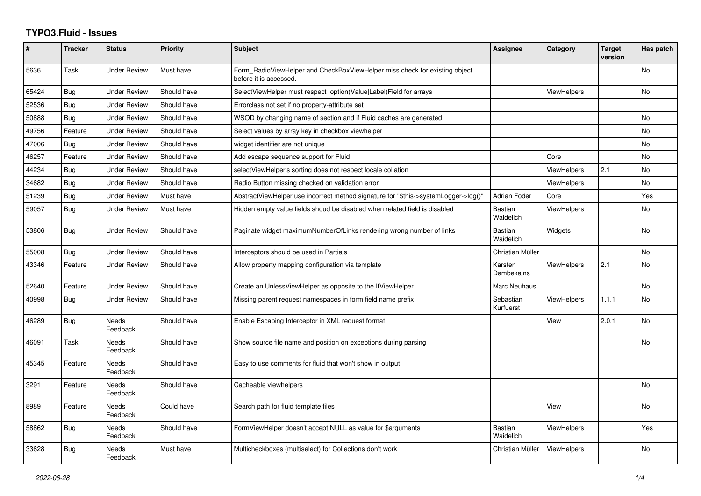## **TYPO3.Fluid - Issues**

| ∦     | <b>Tracker</b> | <b>Status</b>            | Priority    | <b>Subject</b>                                                                                       | <b>Assignee</b>             | Category           | <b>Target</b><br>version | Has patch |
|-------|----------------|--------------------------|-------------|------------------------------------------------------------------------------------------------------|-----------------------------|--------------------|--------------------------|-----------|
| 5636  | Task           | Under Review             | Must have   | Form RadioViewHelper and CheckBoxViewHelper miss check for existing object<br>before it is accessed. |                             |                    |                          | No        |
| 65424 | Bug            | <b>Under Review</b>      | Should have | SelectViewHelper must respect option(Value Label)Field for arrays                                    |                             | <b>ViewHelpers</b> |                          | No        |
| 52536 | Bug            | <b>Under Review</b>      | Should have | Errorclass not set if no property-attribute set                                                      |                             |                    |                          |           |
| 50888 | Bug            | Under Review             | Should have | WSOD by changing name of section and if Fluid caches are generated                                   |                             |                    |                          | <b>No</b> |
| 49756 | Feature        | <b>Under Review</b>      | Should have | Select values by array key in checkbox viewhelper                                                    |                             |                    |                          | <b>No</b> |
| 47006 | Bug            | <b>Under Review</b>      | Should have | widget identifier are not unique                                                                     |                             |                    |                          | <b>No</b> |
| 46257 | Feature        | <b>Under Review</b>      | Should have | Add escape sequence support for Fluid                                                                |                             | Core               |                          | <b>No</b> |
| 44234 | Bug            | <b>Under Review</b>      | Should have | selectViewHelper's sorting does not respect locale collation                                         |                             | ViewHelpers        | 2.1                      | No        |
| 34682 | <b>Bug</b>     | <b>Under Review</b>      | Should have | Radio Button missing checked on validation error                                                     |                             | <b>ViewHelpers</b> |                          | <b>No</b> |
| 51239 | Bug            | Under Review             | Must have   | AbstractViewHelper use incorrect method signature for "\$this->systemLogger->log()"                  | Adrian Föder                | Core               |                          | Yes       |
| 59057 | <b>Bug</b>     | <b>Under Review</b>      | Must have   | Hidden empty value fields shoud be disabled when related field is disabled                           | <b>Bastian</b><br>Waidelich | <b>ViewHelpers</b> |                          | <b>No</b> |
| 53806 | Bug            | Under Review             | Should have | Paginate widget maximumNumberOfLinks rendering wrong number of links                                 | <b>Bastian</b><br>Waidelich | Widgets            |                          | <b>No</b> |
| 55008 | Bug            | Under Review             | Should have | Interceptors should be used in Partials                                                              | Christian Müller            |                    |                          | <b>No</b> |
| 43346 | Feature        | <b>Under Review</b>      | Should have | Allow property mapping configuration via template                                                    | Karsten<br>Dambekalns       | <b>ViewHelpers</b> | 2.1                      | <b>No</b> |
| 52640 | Feature        | <b>Under Review</b>      | Should have | Create an UnlessViewHelper as opposite to the IfViewHelper                                           | Marc Neuhaus                |                    |                          | <b>No</b> |
| 40998 | <b>Bug</b>     | <b>Under Review</b>      | Should have | Missing parent request namespaces in form field name prefix                                          | Sebastian<br>Kurfuerst      | <b>ViewHelpers</b> | 1.1.1                    | <b>No</b> |
| 46289 | <b>Bug</b>     | Needs<br>Feedback        | Should have | Enable Escaping Interceptor in XML request format                                                    |                             | View               | 2.0.1                    | No        |
| 46091 | Task           | <b>Needs</b><br>Feedback | Should have | Show source file name and position on exceptions during parsing                                      |                             |                    |                          | <b>No</b> |
| 45345 | Feature        | <b>Needs</b><br>Feedback | Should have | Easy to use comments for fluid that won't show in output                                             |                             |                    |                          |           |
| 3291  | Feature        | Needs<br>Feedback        | Should have | Cacheable viewhelpers                                                                                |                             |                    |                          | <b>No</b> |
| 8989  | Feature        | <b>Needs</b><br>Feedback | Could have  | Search path for fluid template files                                                                 |                             | View               |                          | <b>No</b> |
| 58862 | <b>Bug</b>     | <b>Needs</b><br>Feedback | Should have | FormViewHelper doesn't accept NULL as value for \$arguments                                          | <b>Bastian</b><br>Waidelich | <b>ViewHelpers</b> |                          | Yes       |
| 33628 | Bug            | Needs<br>Feedback        | Must have   | Multicheckboxes (multiselect) for Collections don't work                                             | Christian Müller            | <b>ViewHelpers</b> |                          | <b>No</b> |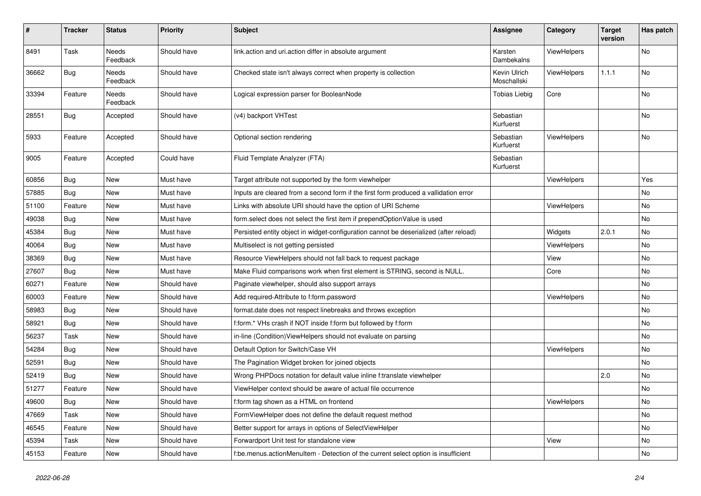| #     | <b>Tracker</b> | <b>Status</b>            | <b>Priority</b> | Subject                                                                               | <b>Assignee</b>             | Category    | <b>Target</b><br>version | Has patch |
|-------|----------------|--------------------------|-----------------|---------------------------------------------------------------------------------------|-----------------------------|-------------|--------------------------|-----------|
| 8491  | Task           | <b>Needs</b><br>Feedback | Should have     | link.action and uri.action differ in absolute argument                                | Karsten<br>Dambekalns       | ViewHelpers |                          | <b>No</b> |
| 36662 | Bug            | Needs<br>Feedback        | Should have     | Checked state isn't always correct when property is collection                        | Kevin Ulrich<br>Moschallski | ViewHelpers | 1.1.1                    | No        |
| 33394 | Feature        | Needs<br>Feedback        | Should have     | Logical expression parser for BooleanNode                                             | <b>Tobias Liebig</b>        | Core        |                          | No        |
| 28551 | Bug            | Accepted                 | Should have     | (v4) backport VHTest                                                                  | Sebastian<br>Kurfuerst      |             |                          | No        |
| 5933  | Feature        | Accepted                 | Should have     | Optional section rendering                                                            | Sebastian<br>Kurfuerst      | ViewHelpers |                          | No        |
| 9005  | Feature        | Accepted                 | Could have      | Fluid Template Analyzer (FTA)                                                         | Sebastian<br>Kurfuerst      |             |                          |           |
| 60856 | Bug            | New                      | Must have       | Target attribute not supported by the form viewhelper                                 |                             | ViewHelpers |                          | Yes       |
| 57885 | Bug            | New                      | Must have       | Inputs are cleared from a second form if the first form produced a vallidation error  |                             |             |                          | No        |
| 51100 | Feature        | New                      | Must have       | Links with absolute URI should have the option of URI Scheme                          |                             | ViewHelpers |                          | No        |
| 49038 | Bug            | New                      | Must have       | form.select does not select the first item if prependOptionValue is used              |                             |             |                          | No        |
| 45384 | Bug            | New                      | Must have       | Persisted entity object in widget-configuration cannot be deserialized (after reload) |                             | Widgets     | 2.0.1                    | <b>No</b> |
| 40064 | Bug            | New                      | Must have       | Multiselect is not getting persisted                                                  |                             | ViewHelpers |                          | No        |
| 38369 | Bug            | New                      | Must have       | Resource ViewHelpers should not fall back to request package                          |                             | View        |                          | No        |
| 27607 | Bug            | New                      | Must have       | Make Fluid comparisons work when first element is STRING, second is NULL.             |                             | Core        |                          | No        |
| 60271 | Feature        | New                      | Should have     | Paginate viewhelper, should also support arrays                                       |                             |             |                          | No        |
| 60003 | Feature        | New                      | Should have     | Add required-Attribute to f:form.password                                             |                             | ViewHelpers |                          | No        |
| 58983 | Bug            | New                      | Should have     | format.date does not respect linebreaks and throws exception                          |                             |             |                          | No        |
| 58921 | Bug            | New                      | Should have     | f:form.* VHs crash if NOT inside f:form but followed by f:form                        |                             |             |                          | No        |
| 56237 | Task           | New                      | Should have     | in-line (Condition) ViewHelpers should not evaluate on parsing                        |                             |             |                          | No        |
| 54284 | Bug            | New                      | Should have     | Default Option for Switch/Case VH                                                     |                             | ViewHelpers |                          | No        |
| 52591 | Bug            | New                      | Should have     | The Pagination Widget broken for joined objects                                       |                             |             |                          | No        |
| 52419 | Bug            | New                      | Should have     | Wrong PHPDocs notation for default value inline f:translate viewhelper                |                             |             | 2.0                      | No        |
| 51277 | Feature        | New                      | Should have     | ViewHelper context should be aware of actual file occurrence                          |                             |             |                          | No        |
| 49600 | <b>Bug</b>     | New                      | Should have     | f:form tag shown as a HTML on frontend                                                |                             | ViewHelpers |                          | No        |
| 47669 | Task           | New                      | Should have     | FormViewHelper does not define the default request method                             |                             |             |                          | No        |
| 46545 | Feature        | New                      | Should have     | Better support for arrays in options of SelectViewHelper                              |                             |             |                          | No        |
| 45394 | Task           | New                      | Should have     | Forwardport Unit test for standalone view                                             |                             | View        |                          | No        |
| 45153 | Feature        | New                      | Should have     | f:be.menus.actionMenuItem - Detection of the current select option is insufficient    |                             |             |                          | No        |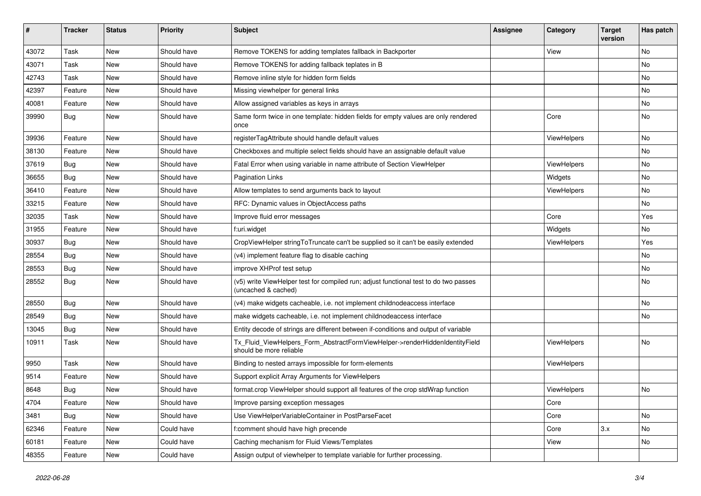| ∦     | <b>Tracker</b> | <b>Status</b> | <b>Priority</b> | Subject                                                                                                     | <b>Assignee</b> | Category           | <b>Target</b><br>version | Has patch |
|-------|----------------|---------------|-----------------|-------------------------------------------------------------------------------------------------------------|-----------------|--------------------|--------------------------|-----------|
| 43072 | Task           | New           | Should have     | Remove TOKENS for adding templates fallback in Backporter                                                   |                 | View               |                          | <b>No</b> |
| 43071 | Task           | New           | Should have     | Remove TOKENS for adding fallback teplates in B                                                             |                 |                    |                          | No        |
| 42743 | Task           | New           | Should have     | Remove inline style for hidden form fields                                                                  |                 |                    |                          | No        |
| 42397 | Feature        | New           | Should have     | Missing viewhelper for general links                                                                        |                 |                    |                          | No        |
| 40081 | Feature        | New           | Should have     | Allow assigned variables as keys in arrays                                                                  |                 |                    |                          | No        |
| 39990 | Bug            | New           | Should have     | Same form twice in one template: hidden fields for empty values are only rendered<br>once                   |                 | Core               |                          | No        |
| 39936 | Feature        | <b>New</b>    | Should have     | registerTagAttribute should handle default values                                                           |                 | ViewHelpers        |                          | <b>No</b> |
| 38130 | Feature        | New           | Should have     | Checkboxes and multiple select fields should have an assignable default value                               |                 |                    |                          | No        |
| 37619 | <b>Bug</b>     | New           | Should have     | Fatal Error when using variable in name attribute of Section ViewHelper                                     |                 | <b>ViewHelpers</b> |                          | No        |
| 36655 | <b>Bug</b>     | New           | Should have     | <b>Pagination Links</b>                                                                                     |                 | Widgets            |                          | No        |
| 36410 | Feature        | New           | Should have     | Allow templates to send arguments back to layout                                                            |                 | ViewHelpers        |                          | No        |
| 33215 | Feature        | New           | Should have     | RFC: Dynamic values in ObjectAccess paths                                                                   |                 |                    |                          | No        |
| 32035 | Task           | New           | Should have     | Improve fluid error messages                                                                                |                 | Core               |                          | Yes       |
| 31955 | Feature        | New           | Should have     | f:uri.widget                                                                                                |                 | Widgets            |                          | No        |
| 30937 | <b>Bug</b>     | New           | Should have     | CropViewHelper stringToTruncate can't be supplied so it can't be easily extended                            |                 | ViewHelpers        |                          | Yes       |
| 28554 | Bug            | New           | Should have     | (v4) implement feature flag to disable caching                                                              |                 |                    |                          | No        |
| 28553 | Bug            | New           | Should have     | improve XHProf test setup                                                                                   |                 |                    |                          | No        |
| 28552 | <b>Bug</b>     | New           | Should have     | (v5) write ViewHelper test for compiled run; adjust functional test to do two passes<br>(uncached & cached) |                 |                    |                          | No        |
| 28550 | Bug            | New           | Should have     | (v4) make widgets cacheable, i.e. not implement childnodeaccess interface                                   |                 |                    |                          | No        |
| 28549 | Bug            | New           | Should have     | make widgets cacheable, i.e. not implement childnodeaccess interface                                        |                 |                    |                          | No        |
| 13045 | <b>Bug</b>     | New           | Should have     | Entity decode of strings are different between if-conditions and output of variable                         |                 |                    |                          |           |
| 10911 | Task           | New           | Should have     | Tx_Fluid_ViewHelpers_Form_AbstractFormViewHelper->renderHiddenIdentityField<br>should be more reliable      |                 | ViewHelpers        |                          | No        |
| 9950  | Task           | New           | Should have     | Binding to nested arrays impossible for form-elements                                                       |                 | ViewHelpers        |                          |           |
| 9514  | Feature        | New           | Should have     | Support explicit Array Arguments for ViewHelpers                                                            |                 |                    |                          |           |
| 8648  | Bug            | New           | Should have     | format.crop ViewHelper should support all features of the crop stdWrap function                             |                 | ViewHelpers        |                          | No        |
| 4704  | Feature        | New           | Should have     | Improve parsing exception messages                                                                          |                 | Core               |                          |           |
| 3481  | <b>Bug</b>     | New           | Should have     | Use ViewHelperVariableContainer in PostParseFacet                                                           |                 | Core               |                          | No        |
| 62346 | Feature        | New           | Could have      | f:comment should have high precende                                                                         |                 | Core               | 3.x                      | No        |
| 60181 | Feature        | New           | Could have      | Caching mechanism for Fluid Views/Templates                                                                 |                 | View               |                          | No        |
| 48355 | Feature        | New           | Could have      | Assign output of viewhelper to template variable for further processing.                                    |                 |                    |                          |           |